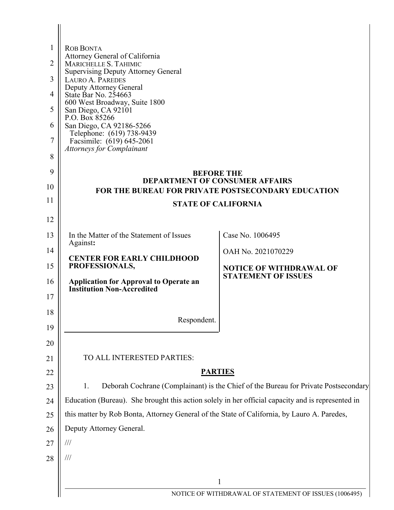| Attorney General of California                                                                          |                                                                                                                                                                                                                                                                                                   |
|---------------------------------------------------------------------------------------------------------|---------------------------------------------------------------------------------------------------------------------------------------------------------------------------------------------------------------------------------------------------------------------------------------------------|
| <b>Supervising Deputy Attorney General</b>                                                              |                                                                                                                                                                                                                                                                                                   |
| Deputy Attorney General                                                                                 |                                                                                                                                                                                                                                                                                                   |
| 600 West Broadway, Suite 1800                                                                           |                                                                                                                                                                                                                                                                                                   |
| P.O. Box 85266                                                                                          |                                                                                                                                                                                                                                                                                                   |
| Telephone: (619) 738-9439                                                                               |                                                                                                                                                                                                                                                                                                   |
| <b>Attorneys for Complainant</b>                                                                        |                                                                                                                                                                                                                                                                                                   |
|                                                                                                         |                                                                                                                                                                                                                                                                                                   |
| 9<br><b>BEFORE THE</b><br><b>DEPARTMENT OF CONSUMER AFFAIRS</b>                                         |                                                                                                                                                                                                                                                                                                   |
| 10<br><b>FOR THE BUREAU FOR PRIVATE POSTSECONDARY EDUCATION</b>                                         |                                                                                                                                                                                                                                                                                                   |
| 11<br><b>STATE OF CALIFORNIA</b>                                                                        |                                                                                                                                                                                                                                                                                                   |
|                                                                                                         |                                                                                                                                                                                                                                                                                                   |
| In the Matter of the Statement of Issues                                                                | Case No. 1006495                                                                                                                                                                                                                                                                                  |
|                                                                                                         | OAH No. 2021070229                                                                                                                                                                                                                                                                                |
| PROFESSIONALS,                                                                                          | <b>NOTICE OF WITHDRAWAL OF</b>                                                                                                                                                                                                                                                                    |
| <b>Application for Approval to Operate an</b>                                                           | <b>STATEMENT OF ISSUES</b>                                                                                                                                                                                                                                                                        |
|                                                                                                         |                                                                                                                                                                                                                                                                                                   |
|                                                                                                         |                                                                                                                                                                                                                                                                                                   |
|                                                                                                         |                                                                                                                                                                                                                                                                                                   |
|                                                                                                         |                                                                                                                                                                                                                                                                                                   |
| TO ALL INTERESTED PARTIES:                                                                              |                                                                                                                                                                                                                                                                                                   |
| 21<br><b>PARTIES</b><br>22                                                                              |                                                                                                                                                                                                                                                                                                   |
| Deborah Cochrane (Complainant) is the Chief of the Bureau for Private Postsecondary<br>1.<br>23         |                                                                                                                                                                                                                                                                                                   |
| Education (Bureau). She brought this action solely in her official capacity and is represented in<br>24 |                                                                                                                                                                                                                                                                                                   |
| this matter by Rob Bonta, Attorney General of the State of California, by Lauro A. Paredes,<br>25       |                                                                                                                                                                                                                                                                                                   |
| Deputy Attorney General.<br>26                                                                          |                                                                                                                                                                                                                                                                                                   |
| ///                                                                                                     |                                                                                                                                                                                                                                                                                                   |
| $\frac{1}{1}$                                                                                           |                                                                                                                                                                                                                                                                                                   |
|                                                                                                         |                                                                                                                                                                                                                                                                                                   |
|                                                                                                         | NOTICE OF WITHDRAWAL OF STATEMENT OF ISSUES (1006495)                                                                                                                                                                                                                                             |
|                                                                                                         | <b>ROB BONTA</b><br>MARICHELLE S. TAHIMIC<br><b>LAURO A. PAREDES</b><br>State Bar No. 254663<br>San Diego, CA 92101<br>San Diego, CA 92186-5266<br>Facsimile: (619) 645-2061<br>Against:<br><b>CENTER FOR EARLY CHILDHOOD</b><br><b>Institution Non-Accredited</b><br>Respondent.<br>$\mathbf{1}$ |